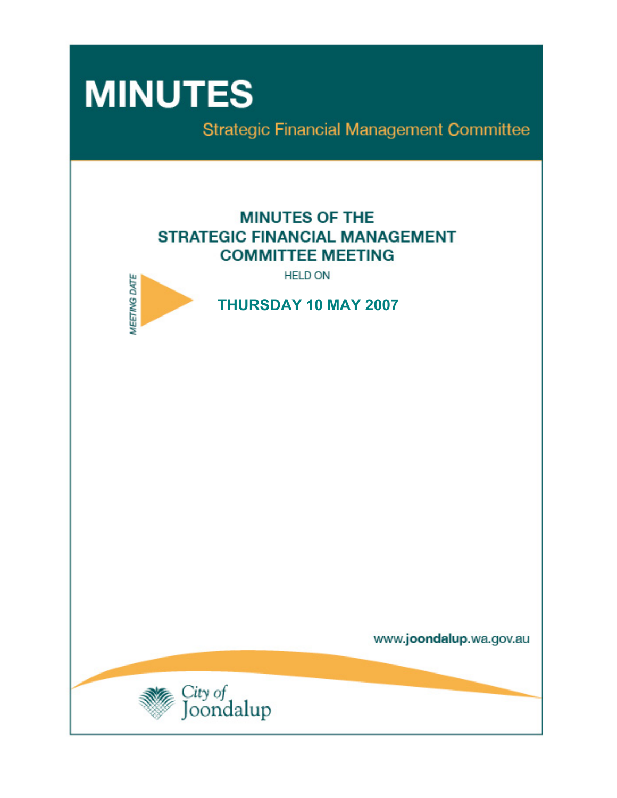# **MINUTES**

**Strategic Financial Management Committee** 

# **MINUTES OF THE STRATEGIC FINANCIAL MANAGEMENT COMMITTEE MEETING**

**HELD ON** 



**THURSDAY 10 MAY 2007** 

www.joondalup.wa.gov.au

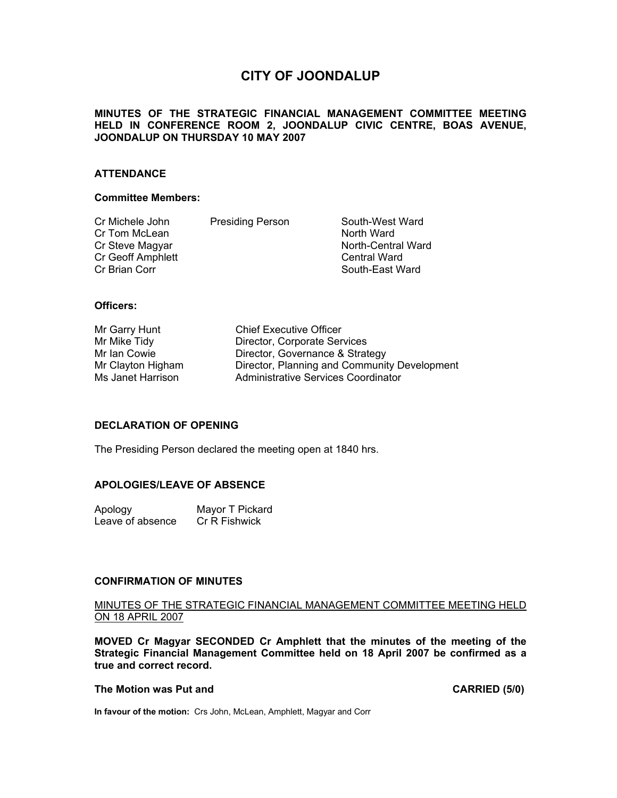## **CITY OF JOONDALUP**

#### **MINUTES OF THE STRATEGIC FINANCIAL MANAGEMENT COMMITTEE MEETING HELD IN CONFERENCE ROOM 2, JOONDALUP CIVIC CENTRE, BOAS AVENUE, JOONDALUP ON THURSDAY 10 MAY 2007**

#### **ATTENDANCE**

#### **Committee Members:**

| Cr Michele John<br>Cr Tom McLean<br>Cr Steve Magyar<br>Cr Geoff Amphlett | <b>Presiding Person</b> | South-West Ward<br>North Ward<br>North-Central Ward<br><b>Central Ward</b> |
|--------------------------------------------------------------------------|-------------------------|----------------------------------------------------------------------------|
| Cr Brian Corr                                                            |                         | South-East Ward                                                            |

#### **Officers:**

Mr Garry Hunt Chief Executive Officer Mr Mike Tidy **Director, Corporate Services**<br>Mr Ian Cowie **Director**, Governance & Strat Mr Ian Cowie **Director, Governance & Strategy**<br>Mr Clayton Higham **Director, Planning and Communit** Director, Planning and Community Development Ms Janet Harrison **Administrative Services Coordinator** 

#### **DECLARATION OF OPENING**

The Presiding Person declared the meeting open at 1840 hrs.

#### **APOLOGIES/LEAVE OF ABSENCE**

Apology Mayor T Pickard Leave of absence Cr R Fishwick

#### **CONFIRMATION OF MINUTES**

#### MINUTES OF THE STRATEGIC FINANCIAL MANAGEMENT COMMITTEE MEETING HELD ON 18 APRIL 2007

**MOVED Cr Magyar SECONDED Cr Amphlett that the minutes of the meeting of the Strategic Financial Management Committee held on 18 April 2007 be confirmed as a true and correct record.** 

#### **The Motion was Put and CARRIED (5/0) CARRIED (5/0)**

**In favour of the motion:** Crs John, McLean, Amphlett, Magyar and Corr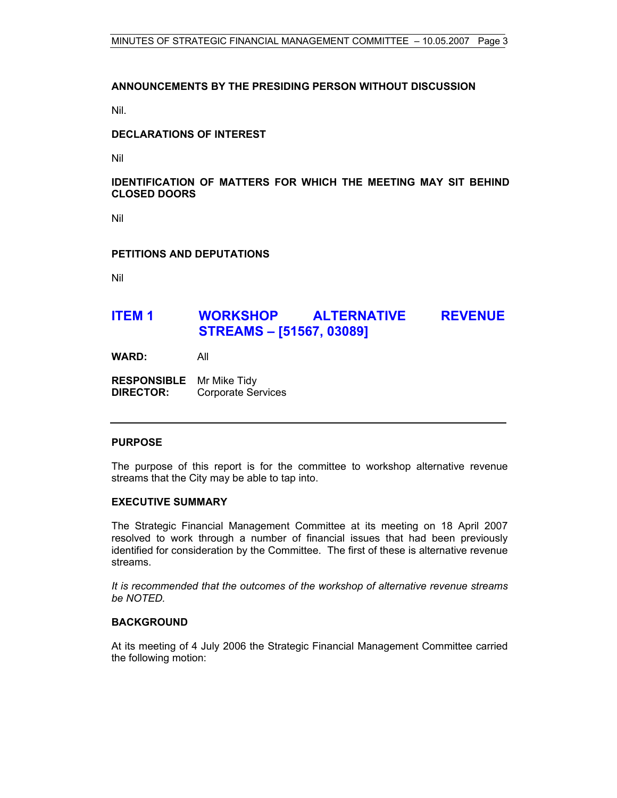#### **ANNOUNCEMENTS BY THE PRESIDING PERSON WITHOUT DISCUSSION**

Nil.

#### **DECLARATIONS OF INTEREST**

Nil

#### **IDENTIFICATION OF MATTERS FOR WHICH THE MEETING MAY SIT BEHIND CLOSED DOORS**

Nil

#### **PETITIONS AND DEPUTATIONS**

Nil

### **ITEM 1 WORKSHOP ALTERNATIVE REVENUE STREAMS – [51567, 03089]**

**WARD:** All

**RESPONSIBLE** Mr Mike Tidy **DIRECTOR:** Corporate Services

#### **PURPOSE**

The purpose of this report is for the committee to workshop alternative revenue streams that the City may be able to tap into.

#### **EXECUTIVE SUMMARY**

The Strategic Financial Management Committee at its meeting on 18 April 2007 resolved to work through a number of financial issues that had been previously identified for consideration by the Committee. The first of these is alternative revenue streams.

*It is recommended that the outcomes of the workshop of alternative revenue streams be NOTED.*

#### **BACKGROUND**

At its meeting of 4 July 2006 the Strategic Financial Management Committee carried the following motion: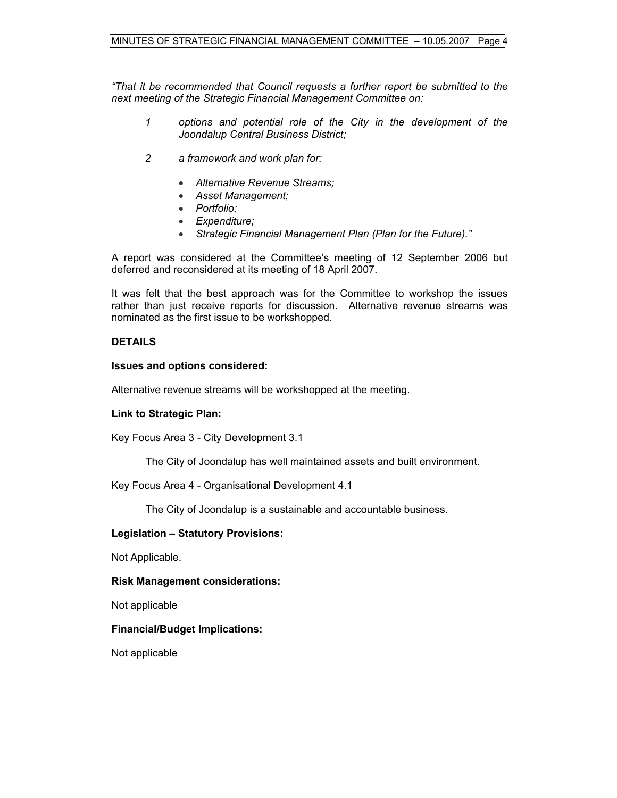*"That it be recommended that Council requests a further report be submitted to the next meeting of the Strategic Financial Management Committee on:* 

- *1 options and potential role of the City in the development of the Joondalup Central Business District;*
- *2 a framework and work plan for:* 
	- *Alternative Revenue Streams;*
	- *Asset Management;*
	- *Portfolio;*
	- *Expenditure;*
	- *Strategic Financial Management Plan (Plan for the Future)."*

A report was considered at the Committee's meeting of 12 September 2006 but deferred and reconsidered at its meeting of 18 April 2007.

It was felt that the best approach was for the Committee to workshop the issues rather than just receive reports for discussion. Alternative revenue streams was nominated as the first issue to be workshopped.

#### **DETAILS**

#### **Issues and options considered:**

Alternative revenue streams will be workshopped at the meeting.

#### **Link to Strategic Plan:**

Key Focus Area 3 - City Development 3.1

The City of Joondalup has well maintained assets and built environment.

Key Focus Area 4 - Organisational Development 4.1

The City of Joondalup is a sustainable and accountable business.

#### **Legislation – Statutory Provisions:**

Not Applicable.

#### **Risk Management considerations:**

Not applicable

#### **Financial/Budget Implications:**

Not applicable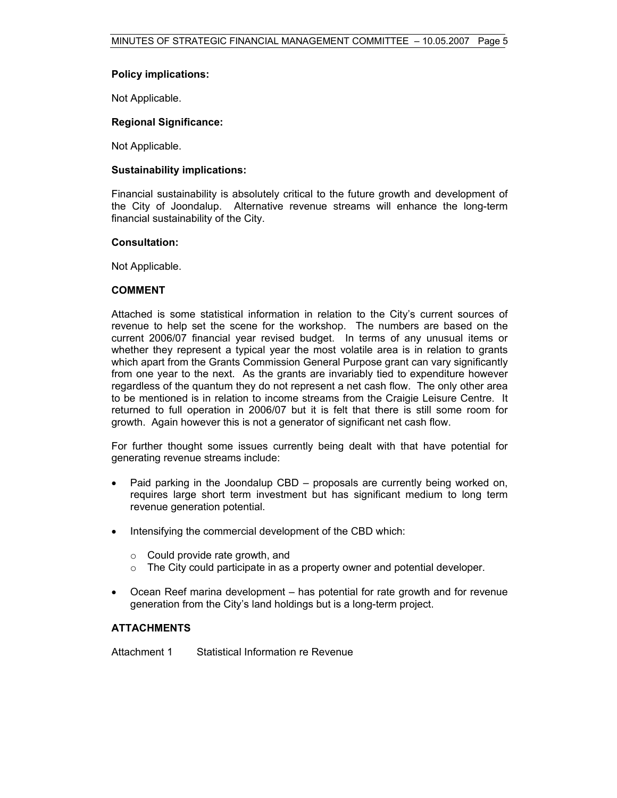#### **Policy implications:**

Not Applicable.

#### **Regional Significance:**

Not Applicable.

#### **Sustainability implications:**

Financial sustainability is absolutely critical to the future growth and development of the City of Joondalup. Alternative revenue streams will enhance the long-term financial sustainability of the City.

#### **Consultation:**

Not Applicable.

#### **COMMENT**

Attached is some statistical information in relation to the City's current sources of revenue to help set the scene for the workshop. The numbers are based on the current 2006/07 financial year revised budget. In terms of any unusual items or whether they represent a typical year the most volatile area is in relation to grants which apart from the Grants Commission General Purpose grant can vary significantly from one year to the next. As the grants are invariably tied to expenditure however regardless of the quantum they do not represent a net cash flow. The only other area to be mentioned is in relation to income streams from the Craigie Leisure Centre. It returned to full operation in 2006/07 but it is felt that there is still some room for growth. Again however this is not a generator of significant net cash flow.

For further thought some issues currently being dealt with that have potential for generating revenue streams include:

- Paid parking in the Joondalup CBD proposals are currently being worked on, requires large short term investment but has significant medium to long term revenue generation potential.
- Intensifying the commercial development of the CBD which:
	- o Could provide rate growth, and
	- $\circ$  The City could participate in as a property owner and potential developer.
- Ocean Reef marina development has potential for rate growth and for revenue generation from the City's land holdings but is a long-term project.

#### **ATTACHMENTS**

Attachment 1 Statistical Information re Revenue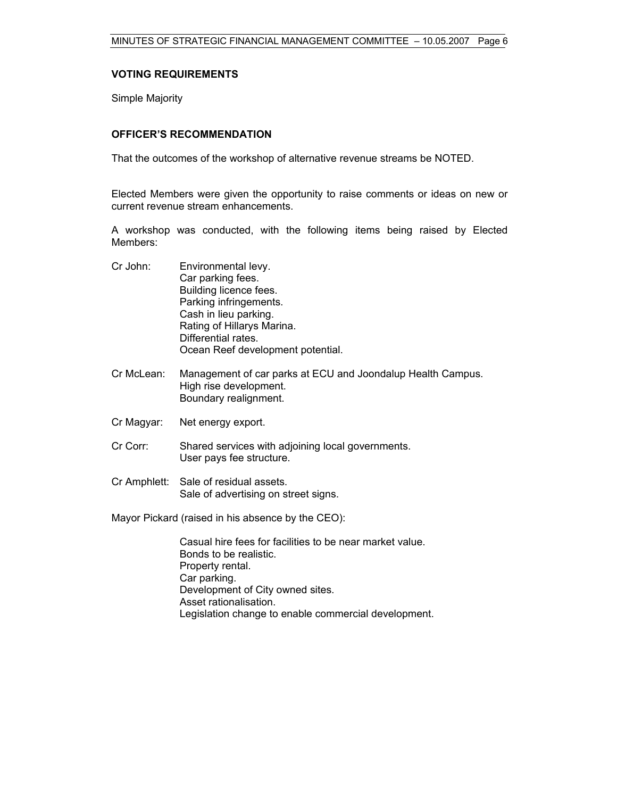#### **VOTING REQUIREMENTS**

Simple Majority

#### **OFFICER'S RECOMMENDATION**

That the outcomes of the workshop of alternative revenue streams be NOTED.

Elected Members were given the opportunity to raise comments or ideas on new or current revenue stream enhancements.

A workshop was conducted, with the following items being raised by Elected Members:

| Cr John: | Environmental levy.               |
|----------|-----------------------------------|
|          | Car parking fees.                 |
|          | Building licence fees.            |
|          | Parking infringements.            |
|          | Cash in lieu parking.             |
|          | Rating of Hillarys Marina.        |
|          | Differential rates.               |
|          | Ocean Reef development potential. |

- Cr McLean: Management of car parks at ECU and Joondalup Health Campus. High rise development. Boundary realignment.
- Cr Magyar: Net energy export.
- Cr Corr: Shared services with adjoining local governments. User pays fee structure.
- Cr Amphlett: Sale of residual assets. Sale of advertising on street signs.

Mayor Pickard (raised in his absence by the CEO):

 Casual hire fees for facilities to be near market value. Bonds to be realistic. Property rental. Car parking. Development of City owned sites. Asset rationalisation. Legislation change to enable commercial development.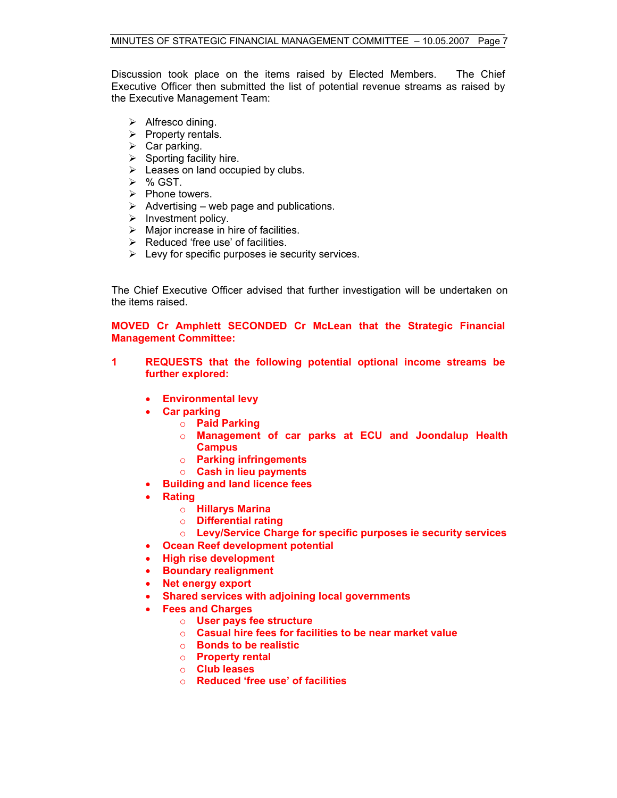Discussion took place on the items raised by Elected Members. The Chief Executive Officer then submitted the list of potential revenue streams as raised by the Executive Management Team:

- $\triangleright$  Alfresco dining.
- $\triangleright$  Property rentals.
- $\triangleright$  Car parking.
- $\triangleright$  Sporting facility hire.
- $\blacktriangleright$  Leases on land occupied by clubs.
- $\triangleright$  % GST.
- $\triangleright$  Phone towers.
- $\triangleright$  Advertising web page and publications.
- $\triangleright$  Investment policy.
- $\triangleright$  Major increase in hire of facilities.
- $\triangleright$  Reduced 'free use' of facilities.
- $\triangleright$  Levy for specific purposes ie security services.

The Chief Executive Officer advised that further investigation will be undertaken on the items raised.

**MOVED Cr Amphlett SECONDED Cr McLean that the Strategic Financial Management Committee:** 

- **1 REQUESTS that the following potential optional income streams be further explored:** 
	- **Environmental levy**
	- **Car parking** 
		- o **Paid Parking**
		- o **Management of car parks at ECU and Joondalup Health Campus**
		- o **Parking infringements**
		- o **Cash in lieu payments**
	- **Building and land licence fees**
	- **Rating** 
		- o **Hillarys Marina**
		- o **Differential rating**
		- o **Levy/Service Charge for specific purposes ie security services**
	- **Ocean Reef development potential**
	- **High rise development**
	- **Boundary realignment**
	- **Net energy export**
	- **Shared services with adjoining local governments**
	- **Fees and Charges** 
		- o **User pays fee structure**
		- o **Casual hire fees for facilities to be near market value**
		- o **Bonds to be realistic**
		- o **Property rental**
		- o **Club leases**
		- o **Reduced 'free use' of facilities**